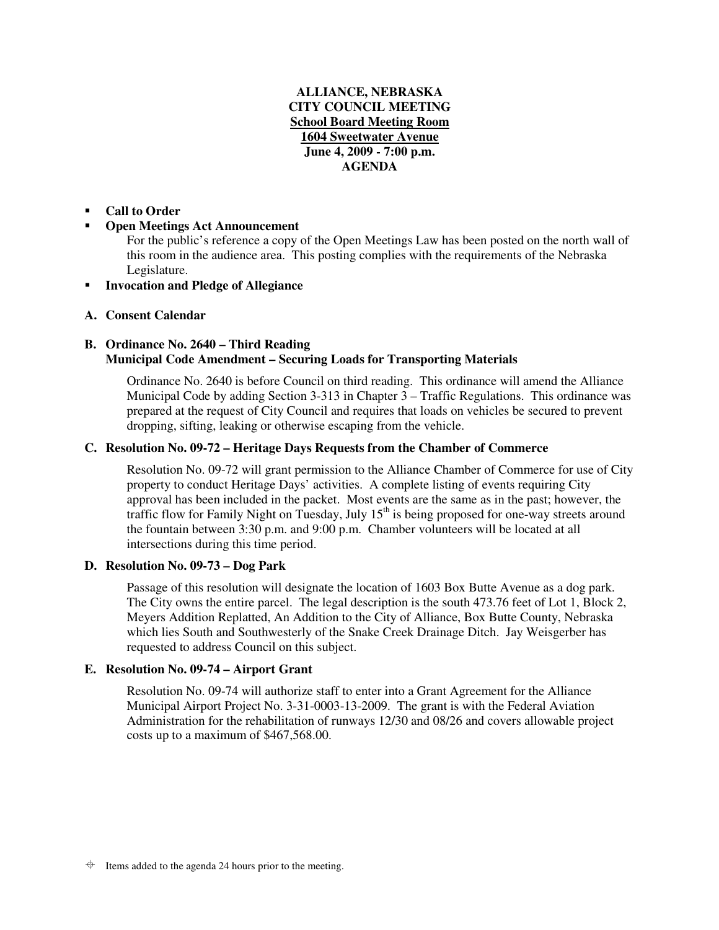# **ALLIANCE, NEBRASKA CITY COUNCIL MEETING School Board Meeting Room 1604 Sweetwater Avenue June 4, 2009 - 7:00 p.m. AGENDA**

#### -**Call to Order**

#### -**Open Meetings Act Announcement**

For the public's reference a copy of the Open Meetings Law has been posted on the north wall of this room in the audience area. This posting complies with the requirements of the Nebraska Legislature.

-**Invocation and Pledge of Allegiance**

## **A. Consent Calendar**

# **B. Ordinance No. 2640 – Third Reading Municipal Code Amendment – Securing Loads for Transporting Materials**

Ordinance No. 2640 is before Council on third reading. This ordinance will amend the Alliance Municipal Code by adding Section 3-313 in Chapter 3 – Traffic Regulations. This ordinance was prepared at the request of City Council and requires that loads on vehicles be secured to prevent dropping, sifting, leaking or otherwise escaping from the vehicle.

## **C. Resolution No. 09-72 – Heritage Days Requests from the Chamber of Commerce**

Resolution No. 09-72 will grant permission to the Alliance Chamber of Commerce for use of City property to conduct Heritage Days' activities. A complete listing of events requiring City approval has been included in the packet. Most events are the same as in the past; however, the traffic flow for Family Night on Tuesday, July 15<sup>th</sup> is being proposed for one-way streets around the fountain between 3:30 p.m. and 9:00 p.m. Chamber volunteers will be located at all intersections during this time period.

## **D. Resolution No. 09-73 – Dog Park**

Passage of this resolution will designate the location of 1603 Box Butte Avenue as a dog park. The City owns the entire parcel. The legal description is the south 473.76 feet of Lot 1, Block 2, Meyers Addition Replatted, An Addition to the City of Alliance, Box Butte County, Nebraska which lies South and Southwesterly of the Snake Creek Drainage Ditch. Jay Weisgerber has requested to address Council on this subject.

## **E. Resolution No. 09-74 – Airport Grant**

Resolution No. 09-74 will authorize staff to enter into a Grant Agreement for the Alliance Municipal Airport Project No. 3-31-0003-13-2009. The grant is with the Federal Aviation Administration for the rehabilitation of runways 12/30 and 08/26 and covers allowable project costs up to a maximum of \$467,568.00.